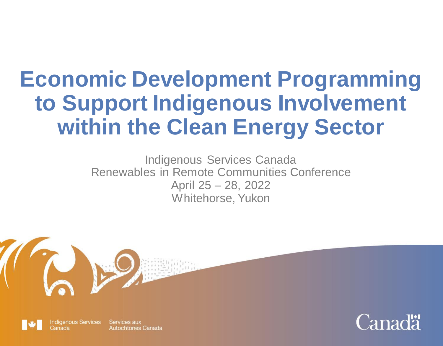## **Economic Development Programming to Support Indigenous Involvement within the Clean Energy Sector**

Indigenous Services Canada Renewables in Remote Communities Conference April 25 – 28, 2022 Whitehorse, Yukon





ndigenous Services Services aux **Autochtones Canada** 

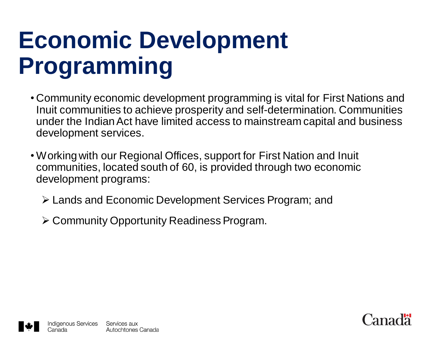# **Economic Development Programming**

- Community economic development programming is vital for First Nations and Inuit communities to achieve prosperity and self-determination. Communities under the Indian Act have limited access to mainstream capital and business development services.
- Working with our Regional Offices, support for First Nation and Inuit communities, located south of 60, is provided through two economic development programs:
	- ➢ Lands and Economic Development Services Program; and
	- ➢ Community Opportunity Readiness Program.



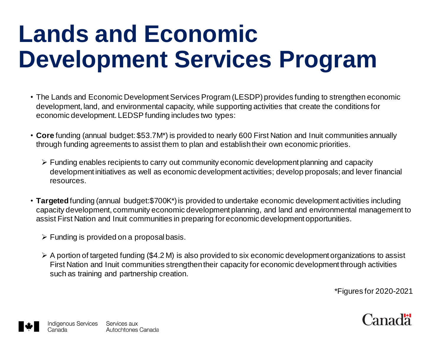# **Lands and Economic Development Services Program**

- The Lands and Economic Development Services Program (LESDP) provides funding to strengthen economic development, land, and environmental capacity, while supporting activities that create the conditions for economic development. LEDSP funding includes two types:
- **Core** funding (annual budget: \$53.7M\*) is provided to nearly 600 First Nation and Inuit communities annually through funding agreements to assist them to plan and establish their own economic priorities.
	- ➢ Funding enables recipients to carry out community economic development planning and capacity development initiatives as well as economic development activities; develop proposals; and lever financial resources.
- **Targeted**funding (annual budget:\$700K\*) is provided to undertake economic development activities including capacity development, community economic development planning, and land and environmental management to assist First Nation and Inuit communities in preparing for economic development opportunities.
	- $\triangleright$  Funding is provided on a proposal basis.
	- ➢ A portion of targeted funding (\$4.2 M) is also provided to six economic development organizations to assist First Nation and Inuit communities strengthen their capacity for economic development through activities such as training and partnership creation.

\*Figures for 2020-2021

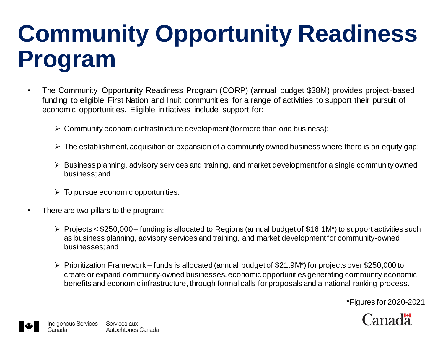# **Community Opportunity Readiness Program**

- The Community Opportunity Readiness Program (CORP) (annual budget \$38M) provides project-based funding to eligible First Nation and Inuit communities for a range of activities to support their pursuit of economic opportunities. Eligible initiatives include support for:
	- ➢ Community economic infrastructure development (for more than one business);
	- $\triangleright$  The establishment, acquisition or expansion of a community owned business where there is an equity gap;
	- ➢ Business planning, advisory services and training, and market development for a single community owned business; and
	- $\triangleright$  To pursue economic opportunities.
- There are two pillars to the program:
	- ➢ Projects < \$250,000 funding is allocated to Regions (annual budget of \$16.1M\*) to support activities such as business planning, advisory services and training, and market development for community-owned businesses; and
	- ➢ Prioritization Framework funds is allocated (annual budget of \$21.9M\*) for projects over \$250,000 to create or expand community-owned businesses, economic opportunities generating community economic benefits and economic infrastructure, through formal calls for proposals and a national ranking process.

\*Figures for 2020-2021

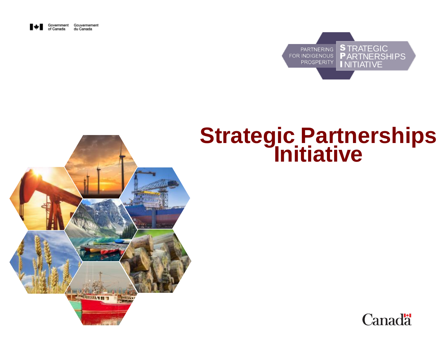



## **Strategic Partnerships Initiative**



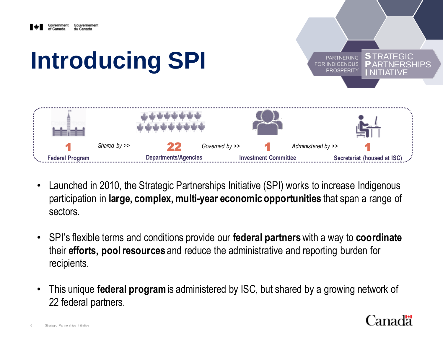

# **Introducing SPI**

**PARTNERING FOR INDIGENOUS PROSPERITY** 



- Launched in 2010, the Strategic Partnerships Initiative (SPI) works to increase Indigenous participation in **large, complex, multi-year economic opportunities** that span a range of sectors.
- SPI's flexible terms and conditions provide our **federal partners** with a way to **coordinate** their **efforts, pool resources** and reduce the administrative and reporting burden for recipients.
- This unique **federal program** is administered by ISC, but shared by a growing network of 22 federal partners.



**S**TRATEGIC

**NITIATIVE** 

ARTNERSHIPS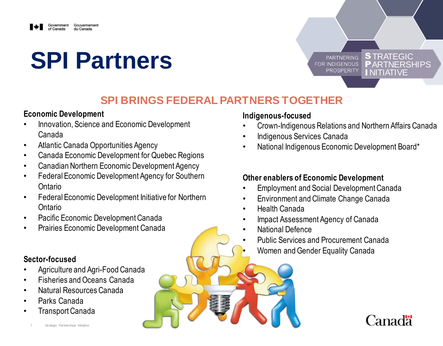# **SPI Partners**

**PARTNERING FOR INDIGENOUS PROSPERITY** 

### **SPI BRINGS FEDERAL PARTNERS TOGETHER**

#### **Economic Development**

Government Gouvernement

- Innovation, Science and Economic Development Canada
- Atlantic Canada Opportunities Agency
- Canada Economic Development for Quebec Regions
- Canadian Northern Economic Development Agency
- Federal Economic Development Agency for Southern **Ontario**
- Federal Economic Development Initiative for Northern Ontario
- Pacific Economic Development Canada
- Prairies Economic Development Canada

#### **Sector-focused**

- Agriculture and Agri-Food Canada
- Fisheries and Oceans Canada
- Natural Resources Canada
- Parks Canada
- Transport Canada

#### **Indigenous-focused**

- Crown-Indigenous Relations and Northern Affairs Canada
- Indigenous Services Canada
- National Indigenous Economic Development Board\*

#### **Other enablers of Economic Development**

- Employment and Social Development Canada
- Environment and Climate Change Canada
- Health Canada
- Impact Assessment Agency of Canada
- National Defence
- Public Services and Procurement Canada
- Women and Gender Equality Canada

Canadä

**S**TRATEGIC

**NITIATIVE** 

**PARTNERSHIPS**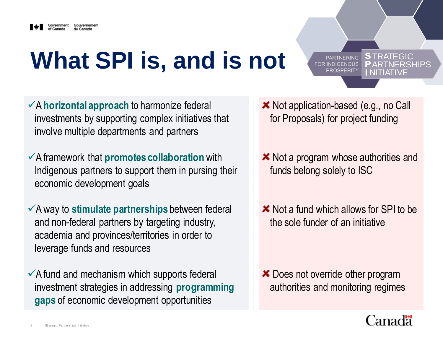# What SPI is, and is not **really STRATTEGIC EXAMPLE SPARE STRATEGIC**

**S**TRATEGIC<br>PARTNERSHIPS **NITIATIVE** 

✓A **horizontal approach** to harmonize federal investments by supporting complex initiatives that involve multiple departments and partners

Government Gouvernement du Canada

- ✓A framework that **promotes collaboration** with Indigenous partners to support them in pursing their economic development goals
- ✓A way to **stimulate partnerships** between federal and non-federal partners by targeting industry, academia and provinces/territories in order to leverage funds and resources
- $\checkmark$  A fund and mechanism which supports federal investment strategies in addressing **programming gaps** of economic development opportunities
- $\blacktriangleright$  Not application-based (e.g., no Call for Proposals) for project funding
- $\boldsymbol{\times}$  Not a program whose authorities and funds belong solely to ISC
- $\boldsymbol{\times}$  Not a fund which allows for SPI to be the sole funder of an initiative

**X** Does not override other program authorities and monitoring regimes

### Canadä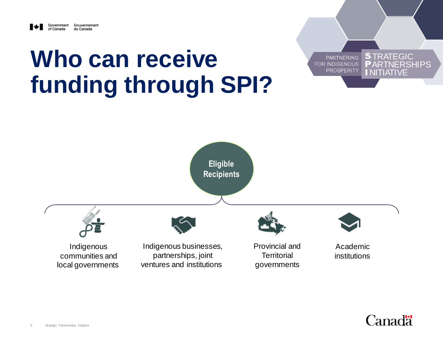

## Who can receive **We ARTNERING EXAMPLER PARTNERS funding through SPI?**





**S**TRATEGIC<br>PARTNERSHIPS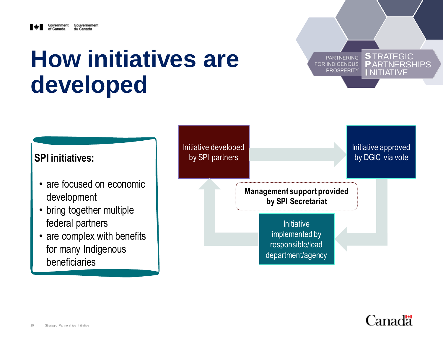## How initiatives are *FOR INDIGENOUS* **developed**

### **SPI initiatives:**

Government Gouvernement

du Canada

of Canada

- are focused on economic development
- bring together multiple federal partners
- are complex with benefits for many Indigenous beneficiaries



### Canadä

**S**TRATEGIC<br>PARTNERSHIPS

IATIVE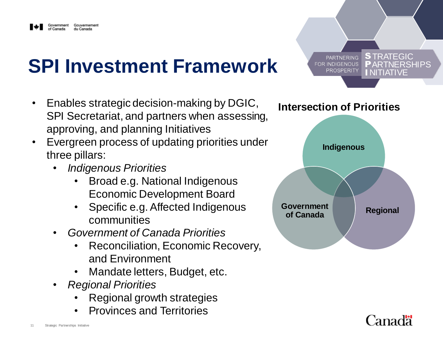## **SPI Investment Framework** NETRANDIGERING

- **Indigenous**  approving, and planning Initiatives **Enables strategic decision-making by DGIC, Intersection of Priorities** SPI Secretariat, and partners when assessing,
- Evergreen process of updating priorities under three pillars:
	- *Indigenous Priorities*

Government Gouvernement

du Canada

of Canada

- Broad e.g. National Indigenous Economic Development Board
- **Priorities** Specific e.g. Affected Indigenous communities
	- *Government of Canada Priorities*
		- Reconciliation, Economic Recovery, and Environment
		- Mandate letters, Budget, etc.
	- *Regional Priorities*
		- Regional growth strategies
		- Provinces and Territories





**S** TRATEGIC<br>PARTNERSHIPS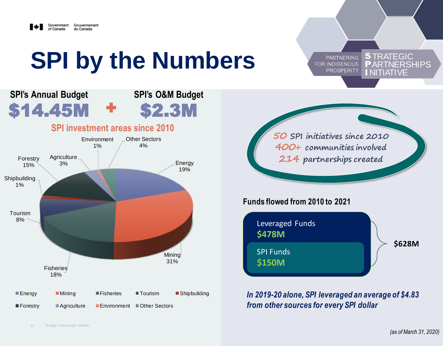# **SPI by the Numbers** FOR INDIGENOUS

**SPI's O&M Budget**  \$2.3M **SPI investment areas since 2010 SPI's Annual Budget**  \$14.45M Energy 19% **Mining** 31% Fisheries 18% Tourism 8% **Shipbuilding** 1% Forestry 15% Agriculture\_ 3% **Environment** 1% Other Sectors 4% Energy Mining Fisheries Tourism Shipbuilding ■Forestry **■ Agriculture ■ Environment ■ Other Sectors** 

**50 SPI initiatives since 2010 400+ communities involved 214 partnerships created**

#### **Funds flowed from 2010 to 2021**



*In 2019-20 alone, SPI leveraged an average of \$4.83 from other sources for every SPI dollar*

**S**TRATEGIC<br>PARTNERSHIPS

IATIVE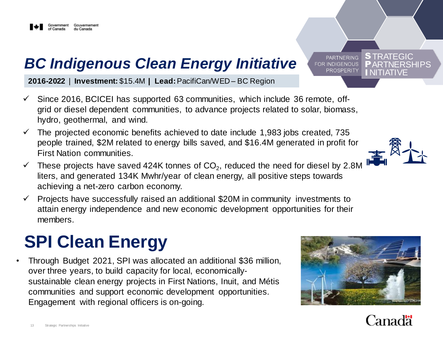## *BC Indigenous Clean Energy Initiative*

**S**TRATEGIC **PARTNERING FOR INDIGENOUS PROSPERITY** 

**2016-2022** | **Investment:** \$15.4M **| Lead:** PacifiCan/WED – BC Region

- Since 2016, BCICEI has supported 63 communities, which include 36 remote, offgrid or diesel dependent communities, to advance projects related to solar, biomass, hydro, geothermal, and wind.
- The projected economic benefits achieved to date include 1,983 jobs created, 735 people trained, \$2M related to energy bills saved, and \$16.4M generated in profit for First Nation communities.
- $\checkmark$  These projects have saved 424K tonnes of CO<sub>2</sub>, reduced the need for diesel by 2.8M liters, and generated 134K Mwhr/year of clean energy, all positive steps towards achieving a net-zero carbon economy.
- ✓ Projects have successfully raised an additional \$20M in community investments to attain energy independence and new economic development opportunities for their members.

## **SPI Clean Energy**

Government Gouvernement

du Canada

of Canada

• Through Budget 2021, SPI was allocated an additional \$36 million, over three years, to build capacity for local, economicallysustainable clean energy projects in First Nations, Inuit, and Métis communities and support economic development opportunities. Engagement with regional officers is on-going.





**PARTNERSHIPS** 

**NITIATIVE**